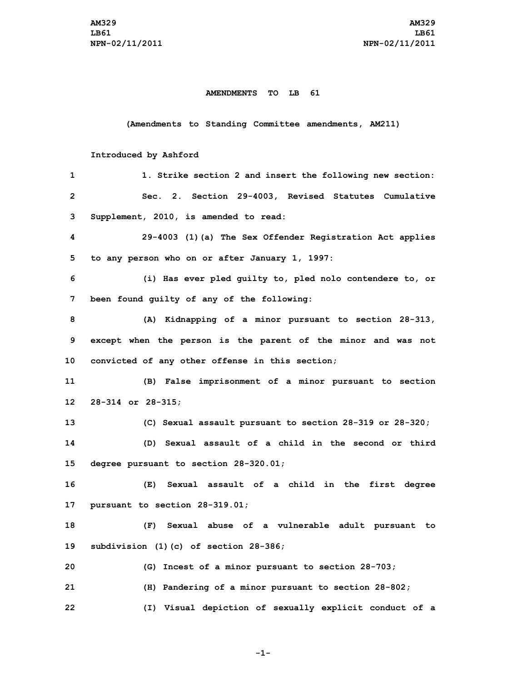## **AMENDMENTS TO LB 61**

## **(Amendments to Standing Committee amendments, AM211)**

## **Introduced by Ashford**

| 1               | 1. Strike section 2 and insert the following new section:     |
|-----------------|---------------------------------------------------------------|
| $\overline{2}$  | Sec. 2. Section 29-4003, Revised Statutes Cumulative          |
| 3               | Supplement, 2010, is amended to read:                         |
| 4               | 29-4003 (1) (a) The Sex Offender Registration Act applies     |
| 5               | to any person who on or after January 1, 1997:                |
| 6               | (i) Has ever pled guilty to, pled nolo contendere to, or      |
| 7               | been found guilty of any of the following:                    |
| 8               | (A) Kidnapping of a minor pursuant to section 28-313,         |
| 9               | except when the person is the parent of the minor and was not |
| 10              | convicted of any other offense in this section;               |
| 11              | (B) False imprisonment of a minor pursuant to section         |
| 12 <sup>°</sup> | $28 - 314$ or $28 - 315$ ;                                    |
| 13              | (C) Sexual assault pursuant to section 28-319 or 28-320;      |
| 14              | (D) Sexual assault of a child in the second or third          |
| 15              | degree pursuant to section 28-320.01;                         |
| 16              | Sexual assault of a child in the first degree<br>(E)          |
| 17              | pursuant to section 28-319.01;                                |
| 18              | Sexual abuse of a vulnerable adult pursuant to<br>(F)         |
| 19              | subdivision (1)(c) of section 28-386;                         |
| 20              | (G) Incest of a minor pursuant to section 28-703;             |
| 21              | (H) Pandering of a minor pursuant to section 28-802;          |
| 22              | (I) Visual depiction of sexually explicit conduct of a        |

**-1-**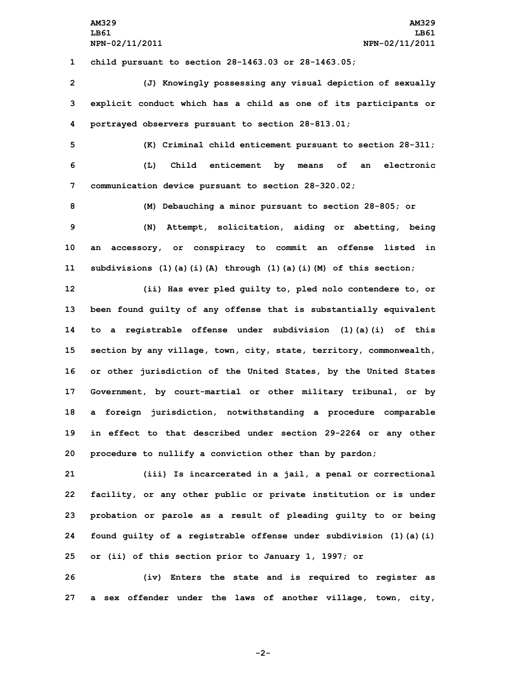**1 child pursuant to section 28-1463.03 or 28-1463.05;**

**2 (J) Knowingly possessing any visual depiction of sexually 3 explicit conduct which has <sup>a</sup> child as one of its participants or 4 portrayed observers pursuant to section 28-813.01;**

**5 (K) Criminal child enticement pursuant to section 28-311; 6 (L) Child enticement by means of an electronic 7 communication device pursuant to section 28-320.02;**

 **(M) Debauching <sup>a</sup> minor pursuant to section 28-805; or (N) Attempt, solicitation, aiding or abetting, being an accessory, or conspiracy to commit an offense listed in subdivisions (1)(a)(i)(A) through (1)(a)(i)(M) of this section;**

 **(ii) Has ever pled guilty to, pled nolo contendere to, or been found guilty of any offense that is substantially equivalent to <sup>a</sup> registrable offense under subdivision (1)(a)(i) of this section by any village, town, city, state, territory, commonwealth, or other jurisdiction of the United States, by the United States Government, by court-martial or other military tribunal, or by <sup>a</sup> foreign jurisdiction, notwithstanding <sup>a</sup> procedure comparable in effect to that described under section 29-2264 or any other procedure to nullify <sup>a</sup> conviction other than by pardon;**

 **(iii) Is incarcerated in <sup>a</sup> jail, <sup>a</sup> penal or correctional facility, or any other public or private institution or is under probation or parole as <sup>a</sup> result of pleading guilty to or being found guilty of <sup>a</sup> registrable offense under subdivision (1)(a)(i) or (ii) of this section prior to January 1, 1997; or**

**26 (iv) Enters the state and is required to register as 27 <sup>a</sup> sex offender under the laws of another village, town, city,**

**-2-**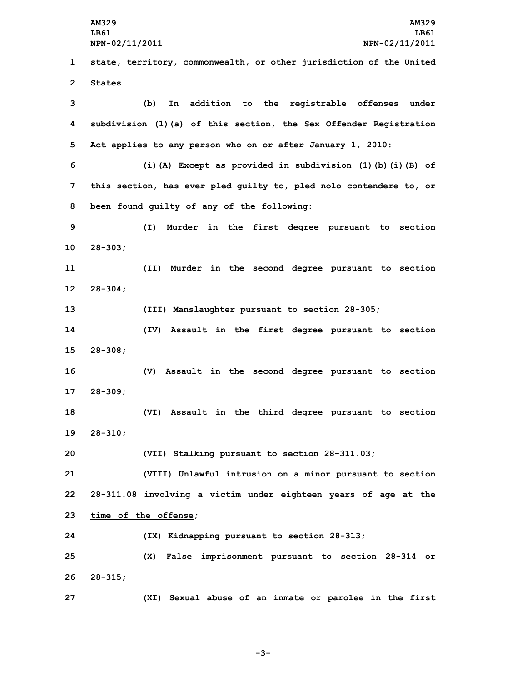**AM329 AM329 LB61 LB61 NPN-02/11/2011 NPN-02/11/2011 state, territory, commonwealth, or other jurisdiction of the United 2 States. (b) In addition to the registrable offenses under subdivision (1)(a) of this section, the Sex Offender Registration Act applies to any person who on or after January 1, 2010: (i)(A) Except as provided in subdivision (1)(b)(i)(B) of this section, has ever pled guilty to, pled nolo contendere to, or been found guilty of any of the following: (I) Murder in the first degree pursuant to section 10 28-303; (II) Murder in the second degree pursuant to section 12 28-304; (III) Manslaughter pursuant to section 28-305; (IV) Assault in the first degree pursuant to section 15 28-308; (V) Assault in the second degree pursuant to section 17 28-309; (VI) Assault in the third degree pursuant to section 19 28-310; (VII) Stalking pursuant to section 28-311.03; (VIII) Unlawful intrusion on <sup>a</sup> minor pursuant to section 28-311.08 involving <sup>a</sup> victim under eighteen years of age at the time of the offense; (IX) Kidnapping pursuant to section 28-313; (X) False imprisonment pursuant to section 28-314 or 26 28-315; (XI) Sexual abuse of an inmate or parolee in the first**

**-3-**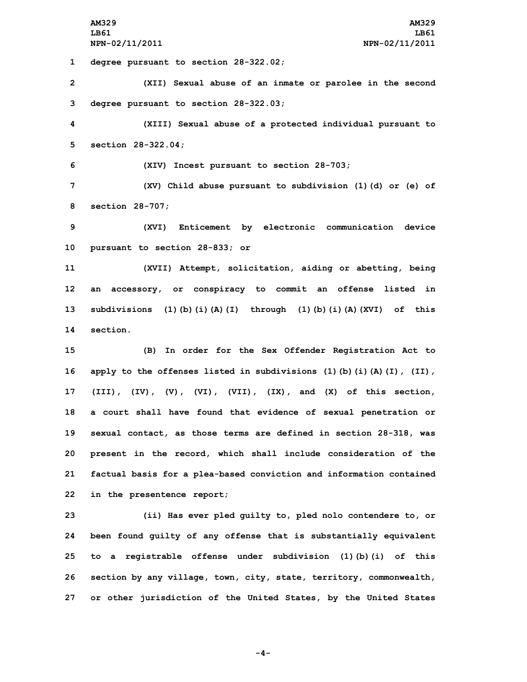**AM329 AM329 LB61 LB61 NPN-02/11/2011 NPN-02/11/2011**

**1 degree pursuant to section 28-322.02;**

**2 (XII) Sexual abuse of an inmate or parolee in the second 3 degree pursuant to section 28-322.03;**

**4 (XIII) Sexual abuse of <sup>a</sup> protected individual pursuant to 5 section 28-322.04;**

**6 (XIV) Incest pursuant to section 28-703;**

**7 (XV) Child abuse pursuant to subdivision (1)(d) or (e) of 8 section 28-707;**

**9 (XVI) Enticement by electronic communication device 10 pursuant to section 28-833; or**

 **(XVII) Attempt, solicitation, aiding or abetting, being an accessory, or conspiracy to commit an offense listed in subdivisions (1)(b)(i)(A)(I) through (1)(b)(i)(A)(XVI) of this 14 section.**

 **(B) In order for the Sex Offender Registration Act to apply to the offenses listed in subdivisions (1)(b)(i)(A)(I), (II), (III), (IV), (V), (VI), (VII), (IX), and (X) of this section, <sup>a</sup> court shall have found that evidence of sexual penetration or sexual contact, as those terms are defined in section 28-318, was present in the record, which shall include consideration of the factual basis for <sup>a</sup> plea-based conviction and information contained in the presentence report;**

 **(ii) Has ever pled guilty to, pled nolo contendere to, or been found guilty of any offense that is substantially equivalent to <sup>a</sup> registrable offense under subdivision (1)(b)(i) of this section by any village, town, city, state, territory, commonwealth, or other jurisdiction of the United States, by the United States**

**-4-**